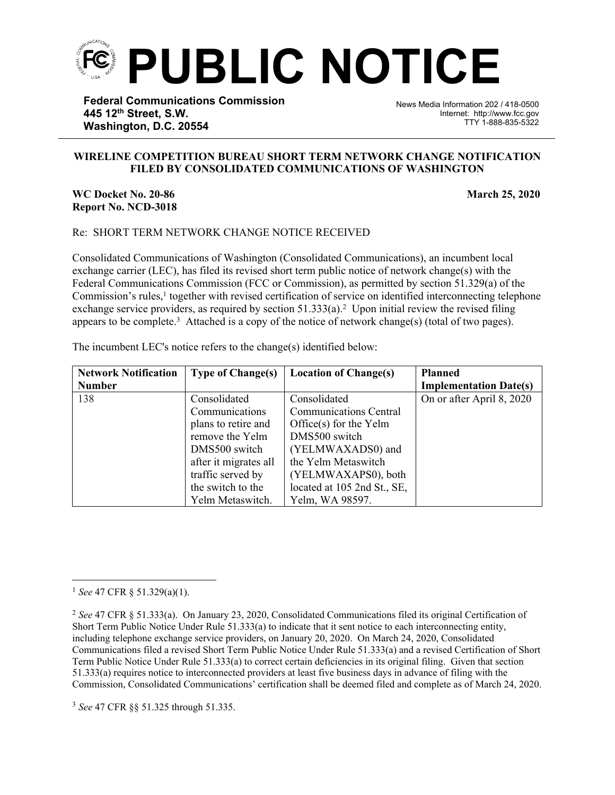

**Federal Communications Commission 445 12th Street, S.W. Washington, D.C. 20554**

News Media Information 202 / 418-0500 Internet: http://www.fcc.gov TTY 1-888-835-5322

## **WIRELINE COMPETITION BUREAU SHORT TERM NETWORK CHANGE NOTIFICATION FILED BY CONSOLIDATED COMMUNICATIONS OF WASHINGTON**

֡֡֡֡

**WC Docket No. 20-86** March 25, 2020 **Report No. NCD-3018**

## Re: SHORT TERM NETWORK CHANGE NOTICE RECEIVED

Consolidated Communications of Washington (Consolidated Communications), an incumbent local exchange carrier (LEC), has filed its revised short term public notice of network change(s) with the Federal Communications Commission (FCC or Commission), as permitted by section 51.329(a) of the Commission's rules,<sup>1</sup> together with revised certification of service on identified interconnecting telephone exchange service providers, as required by section  $51.333(a)$ .<sup>2</sup> Upon initial review the revised filing appears to be complete.<sup>3</sup> Attached is a copy of the notice of network change(s) (total of two pages).

The incumbent LEC's notice refers to the change(s) identified below:

| <b>Network Notification</b> | <b>Type of Change(s)</b> | <b>Location of Change(s)</b>  | <b>Planned</b>                |
|-----------------------------|--------------------------|-------------------------------|-------------------------------|
| <b>Number</b>               |                          |                               | <b>Implementation Date(s)</b> |
| 138                         | Consolidated             | Consolidated                  | On or after April 8, 2020     |
|                             | Communications           | <b>Communications Central</b> |                               |
|                             | plans to retire and      | Office $(s)$ for the Yelm     |                               |
|                             | remove the Yelm          | DMS500 switch                 |                               |
|                             | DMS500 switch            | (YELMWAXADS0) and             |                               |
|                             | after it migrates all    | the Yelm Metaswitch           |                               |
|                             | traffic served by        | (YELMWAXAPS0), both           |                               |
|                             | the switch to the        | located at 105 2nd St., SE,   |                               |
|                             | Yelm Metaswitch.         | Yelm, WA 98597.               |                               |

<sup>3</sup> *See* 47 CFR §§ 51.325 through 51.335.

<sup>1</sup> *See* 47 CFR § 51.329(a)(1).

<sup>2</sup> *See* 47 CFR § 51.333(a). On January 23, 2020, Consolidated Communications filed its original Certification of Short Term Public Notice Under Rule 51.333(a) to indicate that it sent notice to each interconnecting entity, including telephone exchange service providers, on January 20, 2020. On March 24, 2020, Consolidated Communications filed a revised Short Term Public Notice Under Rule 51.333(a) and a revised Certification of Short Term Public Notice Under Rule 51.333(a) to correct certain deficiencies in its original filing. Given that section 51.333(a) requires notice to interconnected providers at least five business days in advance of filing with the Commission, Consolidated Communications' certification shall be deemed filed and complete as of March 24, 2020.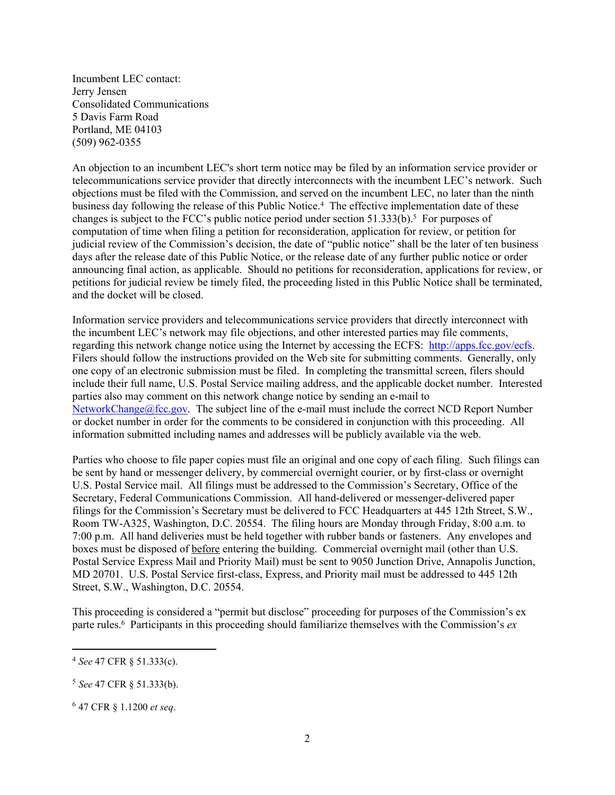Incumbent LEC contact: Jerry Jensen Consolidated Communications 5 Davis Farm Road Portland, ME 04103 (509) 962-0355

An objection to an incumbent LEC's short term notice may be filed by an information service provider or telecommunications service provider that directly interconnects with the incumbent LEC's network. Such objections must be filed with the Commission, and served on the incumbent LEC, no later than the ninth business day following the release of this Public Notice.<sup>4</sup> The effective implementation date of these changes is subject to the FCC's public notice period under section 51.333(b).<sup>5</sup> For purposes of computation of time when filing a petition for reconsideration, application for review, or petition for judicial review of the Commission's decision, the date of "public notice" shall be the later of ten business days after the release date of this Public Notice, or the release date of any further public notice or order announcing final action, as applicable. Should no petitions for reconsideration, applications for review, or petitions for judicial review be timely filed, the proceeding listed in this Public Notice shall be terminated, and the docket will be closed.

Information service providers and telecommunications service providers that directly interconnect with the incumbent LEC's network may file objections, and other interested parties may file comments, regarding this network change notice using the Internet by accessing the ECFS: [http://apps.fcc.gov/ecfs.](http://apps.fcc.gov/ecfs) Filers should follow the instructions provided on the Web site for submitting comments. Generally, only one copy of an electronic submission must be filed. In completing the transmittal screen, filers should include their full name, U.S. Postal Service mailing address, and the applicable docket number. Interested parties also may comment on this network change notice by sending an e-mail to [NetworkChange@fcc.gov.](mailto:NetworkChange@fcc.gov) The subject line of the e-mail must include the correct NCD Report Number or docket number in order for the comments to be considered in conjunction with this proceeding. All information submitted including names and addresses will be publicly available via the web.

Parties who choose to file paper copies must file an original and one copy of each filing. Such filings can be sent by hand or messenger delivery, by commercial overnight courier, or by first-class or overnight U.S. Postal Service mail. All filings must be addressed to the Commission's Secretary, Office of the Secretary, Federal Communications Commission. All hand-delivered or messenger-delivered paper filings for the Commission's Secretary must be delivered to FCC Headquarters at 445 12th Street, S.W., Room TW-A325, Washington, D.C. 20554. The filing hours are Monday through Friday, 8:00 a.m. to 7:00 p.m. All hand deliveries must be held together with rubber bands or fasteners. Any envelopes and boxes must be disposed of before entering the building. Commercial overnight mail (other than U.S. Postal Service Express Mail and Priority Mail) must be sent to 9050 Junction Drive, Annapolis Junction, MD 20701. U.S. Postal Service first-class, Express, and Priority mail must be addressed to 445 12th Street, S.W., Washington, D.C. 20554.

This proceeding is considered a "permit but disclose" proceeding for purposes of the Commission's ex parte rules.<sup>6</sup> Participants in this proceeding should familiarize themselves with the Commission's *ex* 

<sup>4</sup> *See* 47 CFR § 51.333(c).

<sup>5</sup> *See* 47 CFR § 51.333(b).

<sup>6</sup> 47 CFR § 1.1200 *et seq*.